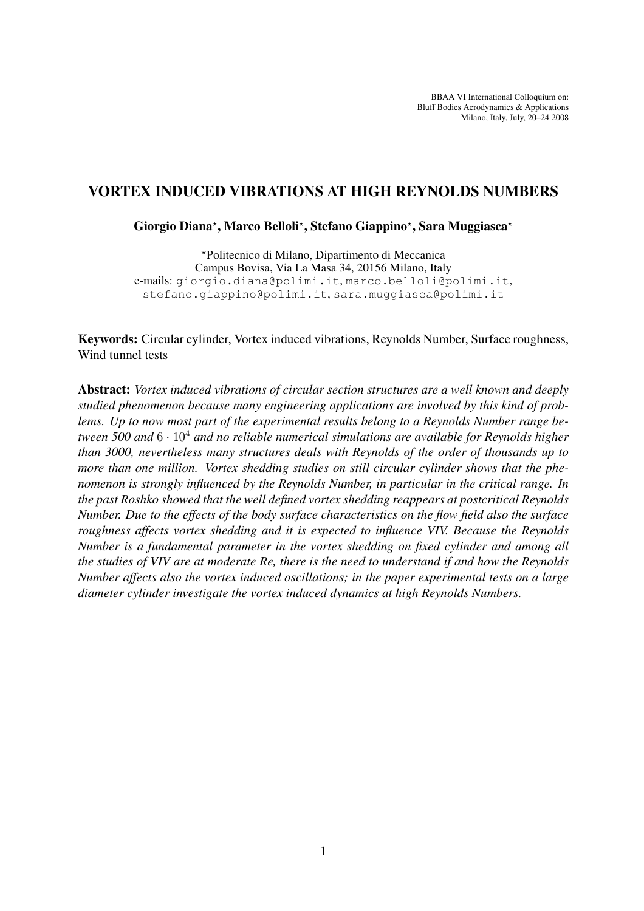BBAA VI International Colloquium on: Bluff Bodies Aerodynamics & Applications Milano, Italy, July, 20–24 2008

# VORTEX INDUCED VIBRATIONS AT HIGH REYNOLDS NUMBERS

Giorgio Diana\*, Marco Belloli\*, Stefano Giappino\*, Sara Muggiasca\*

?Politecnico di Milano, Dipartimento di Meccanica Campus Bovisa, Via La Masa 34, 20156 Milano, Italy e-mails: giorgio.diana@polimi.it, marco.belloli@polimi.it, stefano.giappino@polimi.it, sara.muggiasca@polimi.it

Keywords: Circular cylinder, Vortex induced vibrations, Reynolds Number, Surface roughness, Wind tunnel tests

Abstract: *Vortex induced vibrations of circular section structures are a well known and deeply studied phenomenon because many engineering applications are involved by this kind of problems. Up to now most part of the experimental results belong to a Reynolds Number range between 500 and* 6 · 10<sup>4</sup> *and no reliable numerical simulations are available for Reynolds higher than 3000, nevertheless many structures deals with Reynolds of the order of thousands up to more than one million. Vortex shedding studies on still circular cylinder shows that the phenomenon is strongly influenced by the Reynolds Number, in particular in the critical range. In the past Roshko showed that the well defined vortex shedding reappears at postcritical Reynolds Number. Due to the effects of the body surface characteristics on the flow field also the surface roughness affects vortex shedding and it is expected to influence VIV. Because the Reynolds Number is a fundamental parameter in the vortex shedding on fixed cylinder and among all the studies of VIV are at moderate Re, there is the need to understand if and how the Reynolds Number affects also the vortex induced oscillations; in the paper experimental tests on a large diameter cylinder investigate the vortex induced dynamics at high Reynolds Numbers.*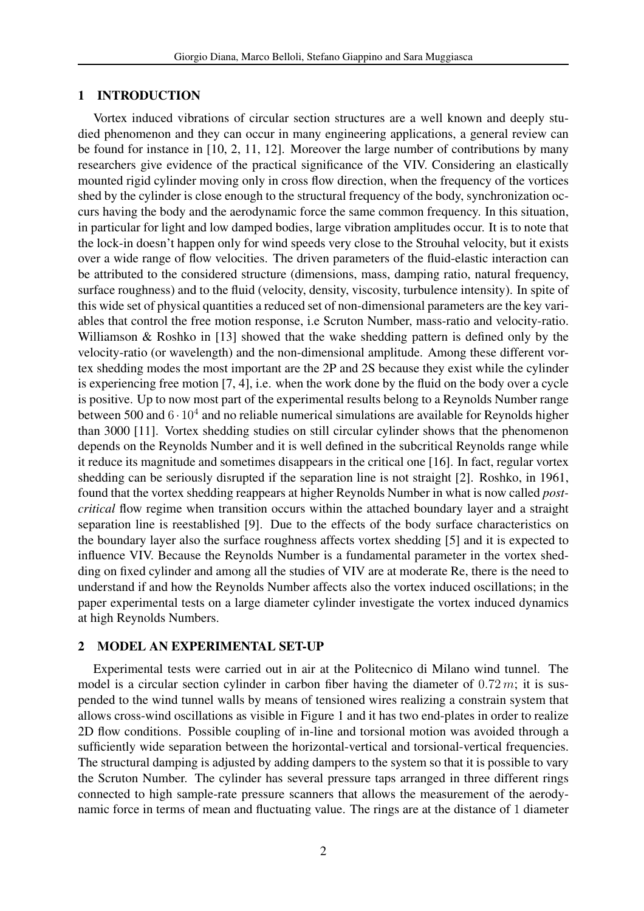#### 1 INTRODUCTION

Vortex induced vibrations of circular section structures are a well known and deeply studied phenomenon and they can occur in many engineering applications, a general review can be found for instance in [10, 2, 11, 12]. Moreover the large number of contributions by many researchers give evidence of the practical significance of the VIV. Considering an elastically mounted rigid cylinder moving only in cross flow direction, when the frequency of the vortices shed by the cylinder is close enough to the structural frequency of the body, synchronization occurs having the body and the aerodynamic force the same common frequency. In this situation, in particular for light and low damped bodies, large vibration amplitudes occur. It is to note that the lock-in doesn't happen only for wind speeds very close to the Strouhal velocity, but it exists over a wide range of flow velocities. The driven parameters of the fluid-elastic interaction can be attributed to the considered structure (dimensions, mass, damping ratio, natural frequency, surface roughness) and to the fluid (velocity, density, viscosity, turbulence intensity). In spite of this wide set of physical quantities a reduced set of non-dimensional parameters are the key variables that control the free motion response, i.e Scruton Number, mass-ratio and velocity-ratio. Williamson & Roshko in [13] showed that the wake shedding pattern is defined only by the velocity-ratio (or wavelength) and the non-dimensional amplitude. Among these different vortex shedding modes the most important are the 2P and 2S because they exist while the cylinder is experiencing free motion [7, 4], i.e. when the work done by the fluid on the body over a cycle is positive. Up to now most part of the experimental results belong to a Reynolds Number range between 500 and  $6 \cdot 10^4$  and no reliable numerical simulations are available for Reynolds higher than 3000 [11]. Vortex shedding studies on still circular cylinder shows that the phenomenon depends on the Reynolds Number and it is well defined in the subcritical Reynolds range while it reduce its magnitude and sometimes disappears in the critical one [16]. In fact, regular vortex shedding can be seriously disrupted if the separation line is not straight [2]. Roshko, in 1961, found that the vortex shedding reappears at higher Reynolds Number in what is now called *postcritical* flow regime when transition occurs within the attached boundary layer and a straight separation line is reestablished [9]. Due to the effects of the body surface characteristics on the boundary layer also the surface roughness affects vortex shedding [5] and it is expected to influence VIV. Because the Reynolds Number is a fundamental parameter in the vortex shedding on fixed cylinder and among all the studies of VIV are at moderate Re, there is the need to understand if and how the Reynolds Number affects also the vortex induced oscillations; in the paper experimental tests on a large diameter cylinder investigate the vortex induced dynamics at high Reynolds Numbers.

## 2 MODEL AN EXPERIMENTAL SET-UP

Experimental tests were carried out in air at the Politecnico di Milano wind tunnel. The model is a circular section cylinder in carbon fiber having the diameter of  $0.72 \, m$ ; it is suspended to the wind tunnel walls by means of tensioned wires realizing a constrain system that allows cross-wind oscillations as visible in Figure 1 and it has two end-plates in order to realize 2D flow conditions. Possible coupling of in-line and torsional motion was avoided through a sufficiently wide separation between the horizontal-vertical and torsional-vertical frequencies. The structural damping is adjusted by adding dampers to the system so that it is possible to vary the Scruton Number. The cylinder has several pressure taps arranged in three different rings connected to high sample-rate pressure scanners that allows the measurement of the aerodynamic force in terms of mean and fluctuating value. The rings are at the distance of 1 diameter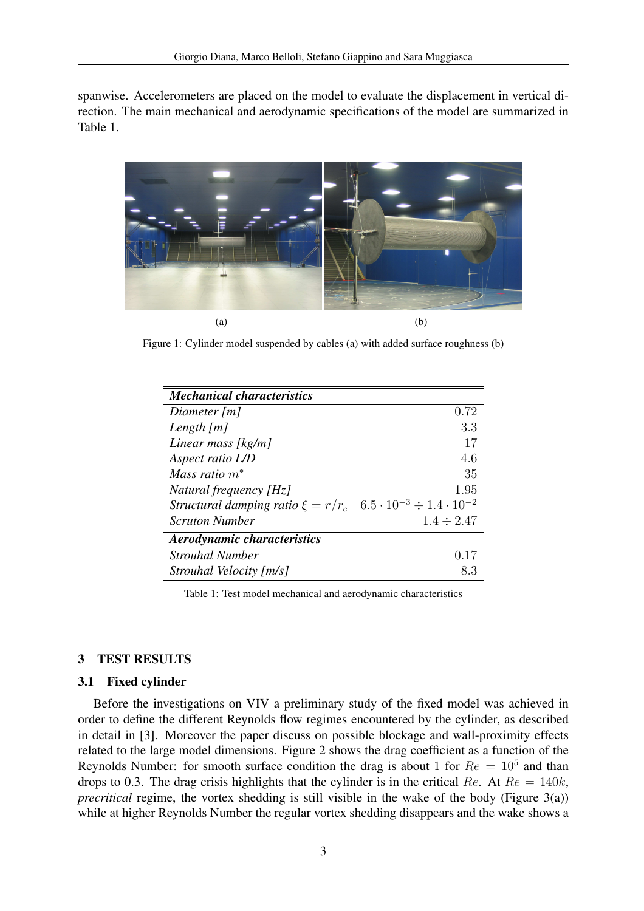spanwise. Accelerometers are placed on the model to evaluate the displacement in vertical direction. The main mechanical and aerodynamic specifications of the model are summarized in Table 1.



Figure 1: Cylinder model suspended by cables (a) with added surface roughness (b)

| <b>Mechanical characteristics</b>                                                 |                 |
|-----------------------------------------------------------------------------------|-----------------|
| Diameter $[m]$                                                                    | 0.72            |
| Length $[m]$                                                                      | 3.3             |
| Linear mass [kg/m]                                                                | 17              |
| Aspect ratio L/D                                                                  | 4.6             |
| Mass ratio $m^*$                                                                  | 35              |
| Natural frequency [Hz]                                                            | 1.95            |
| Structural damping ratio $\xi = r/r_c$ 6.5 $\cdot 10^{-3} \div 1.4 \cdot 10^{-2}$ |                 |
| <b>Scruton Number</b>                                                             | $1.4 \div 2.47$ |
| <b>Aerodynamic characteristics</b>                                                |                 |
| <b>Strouhal Number</b>                                                            | 0.17            |
| Strouhal Velocity [m/s]                                                           | 8.3             |

Table 1: Test model mechanical and aerodynamic characteristics

## 3 TEST RESULTS

## 3.1 Fixed cylinder

Before the investigations on VIV a preliminary study of the fixed model was achieved in order to define the different Reynolds flow regimes encountered by the cylinder, as described in detail in [3]. Moreover the paper discuss on possible blockage and wall-proximity effects related to the large model dimensions. Figure 2 shows the drag coefficient as a function of the Reynolds Number: for smooth surface condition the drag is about 1 for  $Re = 10<sup>5</sup>$  and than drops to 0.3. The drag crisis highlights that the cylinder is in the critical Re. At  $Re = 140k$ , *precritical* regime, the vortex shedding is still visible in the wake of the body (Figure 3(a)) while at higher Reynolds Number the regular vortex shedding disappears and the wake shows a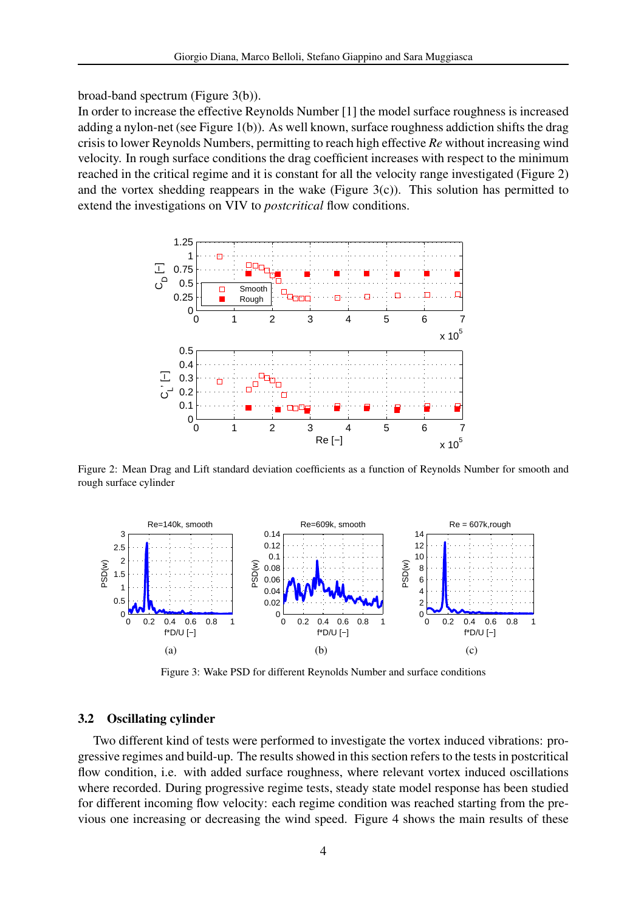broad-band spectrum (Figure 3(b)).

In order to increase the effective Reynolds Number [1] the model surface roughness is increased adding a nylon-net (see Figure 1(b)). As well known, surface roughness addiction shifts the drag crisis to lower Reynolds Numbers, permitting to reach high effective *Re* without increasing wind velocity. In rough surface conditions the drag coefficient increases with respect to the minimum reached in the critical regime and it is constant for all the velocity range investigated (Figure 2) and the vortex shedding reappears in the wake (Figure  $3(c)$ ). This solution has permitted to extend the investigations on VIV to *postcritical* flow conditions.



Figure 2: Mean Drag and Lift standard deviation coefficients as a function of Reynolds Number for smooth and rough surface cylinder



Figure 3: Wake PSD for different Reynolds Number and surface conditions

## 3.2 Oscillating cylinder

Two different kind of tests were performed to investigate the vortex induced vibrations: progressive regimes and build-up. The results showed in this section refers to the tests in postcritical flow condition, i.e. with added surface roughness, where relevant vortex induced oscillations where recorded. During progressive regime tests, steady state model response has been studied for different incoming flow velocity: each regime condition was reached starting from the previous one increasing or decreasing the wind speed. Figure 4 shows the main results of these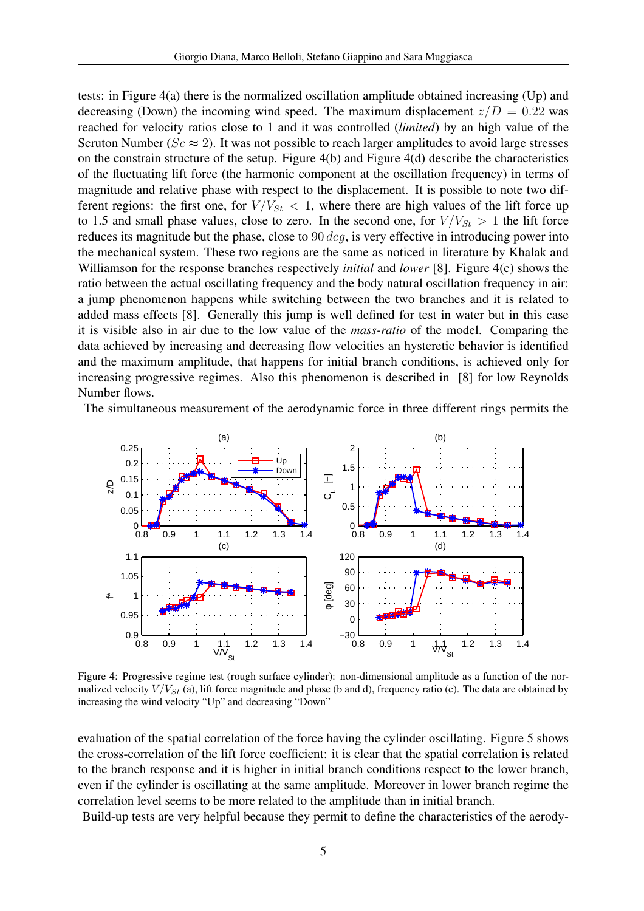tests: in Figure 4(a) there is the normalized oscillation amplitude obtained increasing (Up) and decreasing (Down) the incoming wind speed. The maximum displacement  $z/D = 0.22$  was reached for velocity ratios close to 1 and it was controlled (*limited*) by an high value of the Scruton Number ( $Sc \approx 2$ ). It was not possible to reach larger amplitudes to avoid large stresses on the constrain structure of the setup. Figure 4(b) and Figure 4(d) describe the characteristics of the fluctuating lift force (the harmonic component at the oscillation frequency) in terms of magnitude and relative phase with respect to the displacement. It is possible to note two different regions: the first one, for  $V/V_{St} < 1$ , where there are high values of the lift force up to 1.5 and small phase values, close to zero. In the second one, for  $V/V_{St} > 1$  the lift force reduces its magnitude but the phase, close to  $90 \text{ deg}$ , is very effective in introducing power into the mechanical system. These two regions are the same as noticed in literature by Khalak and Williamson for the response branches respectively *initial* and *lower* [8]. Figure 4(c) shows the ratio between the actual oscillating frequency and the body natural oscillation frequency in air: a jump phenomenon happens while switching between the two branches and it is related to added mass effects [8]. Generally this jump is well defined for test in water but in this case it is visible also in air due to the low value of the *mass-ratio* of the model. Comparing the data achieved by increasing and decreasing flow velocities an hysteretic behavior is identified and the maximum amplitude, that happens for initial branch conditions, is achieved only for increasing progressive regimes. Also this phenomenon is described in [8] for low Reynolds Number flows.

The simultaneous measurement of the aerodynamic force in three different rings permits the



Figure 4: Progressive regime test (rough surface cylinder): non-dimensional amplitude as a function of the normalized velocity  $V/V_{St}$  (a), lift force magnitude and phase (b and d), frequency ratio (c). The data are obtained by increasing the wind velocity "Up" and decreasing "Down"

evaluation of the spatial correlation of the force having the cylinder oscillating. Figure 5 shows the cross-correlation of the lift force coefficient: it is clear that the spatial correlation is related to the branch response and it is higher in initial branch conditions respect to the lower branch, even if the cylinder is oscillating at the same amplitude. Moreover in lower branch regime the correlation level seems to be more related to the amplitude than in initial branch.

Build-up tests are very helpful because they permit to define the characteristics of the aerody-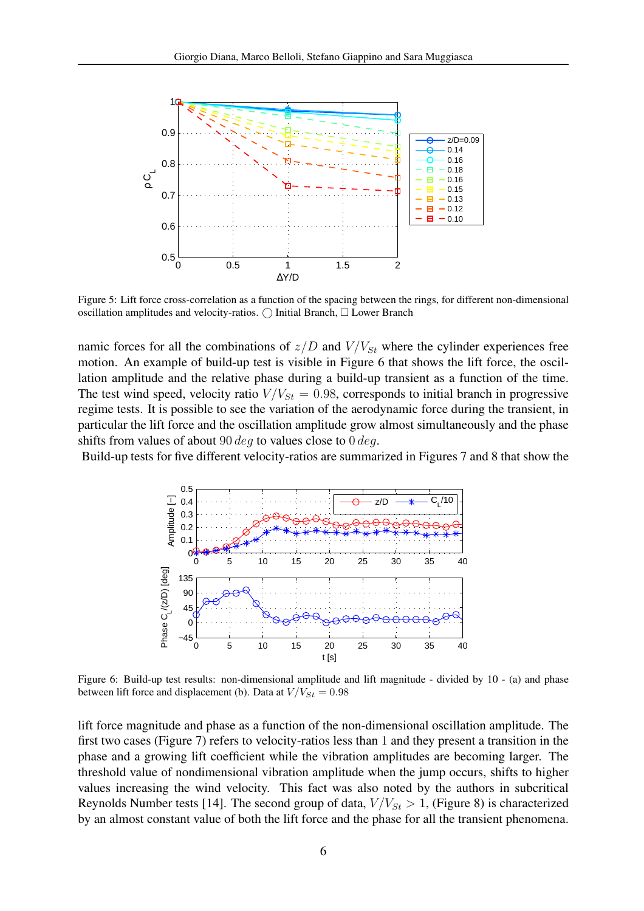

Figure 5: Lift force cross-correlation as a function of the spacing between the rings, for different non-dimensional oscillation amplitudes and velocity-ratios.  $\bigcirc$  Initial Branch,  $\Box$  Lower Branch

namic forces for all the combinations of  $z/D$  and  $V/V_{St}$  where the cylinder experiences free motion. An example of build-up test is visible in Figure 6 that shows the lift force, the oscillation amplitude and the relative phase during a build-up transient as a function of the time. The test wind speed, velocity ratio  $V/V_{St} = 0.98$ , corresponds to initial branch in progressive regime tests. It is possible to see the variation of the aerodynamic force during the transient, in particular the lift force and the oscillation amplitude grow almost simultaneously and the phase shifts from values of about  $90 \deg$  to values close to  $0 \deg$ .

Build-up tests for five different velocity-ratios are summarized in Figures 7 and 8 that show the



Figure 6: Build-up test results: non-dimensional amplitude and lift magnitude - divided by 10 - (a) and phase between lift force and displacement (b). Data at  $V/V_{St} = 0.98$ 

lift force magnitude and phase as a function of the non-dimensional oscillation amplitude. The first two cases (Figure 7) refers to velocity-ratios less than 1 and they present a transition in the phase and a growing lift coefficient while the vibration amplitudes are becoming larger. The threshold value of nondimensional vibration amplitude when the jump occurs, shifts to higher values increasing the wind velocity. This fact was also noted by the authors in subcritical Reynolds Number tests [14]. The second group of data,  $V/V_{St} > 1$ , (Figure 8) is characterized by an almost constant value of both the lift force and the phase for all the transient phenomena.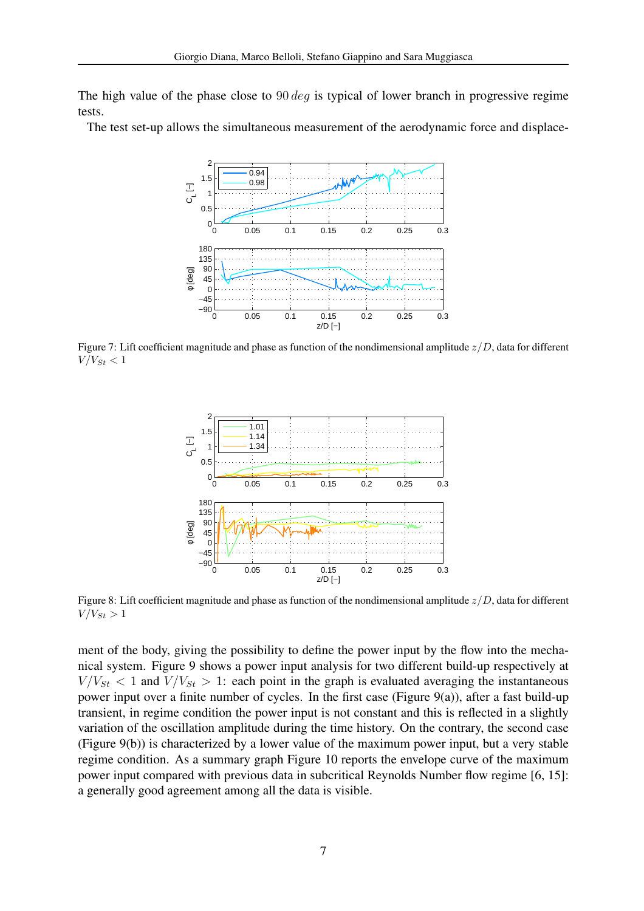The high value of the phase close to  $90 \text{ deg}$  is typical of lower branch in progressive regime tests.

The test set-up allows the simultaneous measurement of the aerodynamic force and displace-



Figure 7: Lift coefficient magnitude and phase as function of the nondimensional amplitude  $z/D$ , data for different  $V/V_{St} < 1$ 



Figure 8: Lift coefficient magnitude and phase as function of the nondimensional amplitude  $z/D$ , data for different  $V/V_{St} > 1$ 

ment of the body, giving the possibility to define the power input by the flow into the mechanical system. Figure 9 shows a power input analysis for two different build-up respectively at  $V/V_{St}$  < 1 and  $V/V_{St}$  > 1: each point in the graph is evaluated averaging the instantaneous power input over a finite number of cycles. In the first case (Figure 9(a)), after a fast build-up transient, in regime condition the power input is not constant and this is reflected in a slightly variation of the oscillation amplitude during the time history. On the contrary, the second case (Figure 9(b)) is characterized by a lower value of the maximum power input, but a very stable regime condition. As a summary graph Figure 10 reports the envelope curve of the maximum power input compared with previous data in subcritical Reynolds Number flow regime [6, 15]: a generally good agreement among all the data is visible.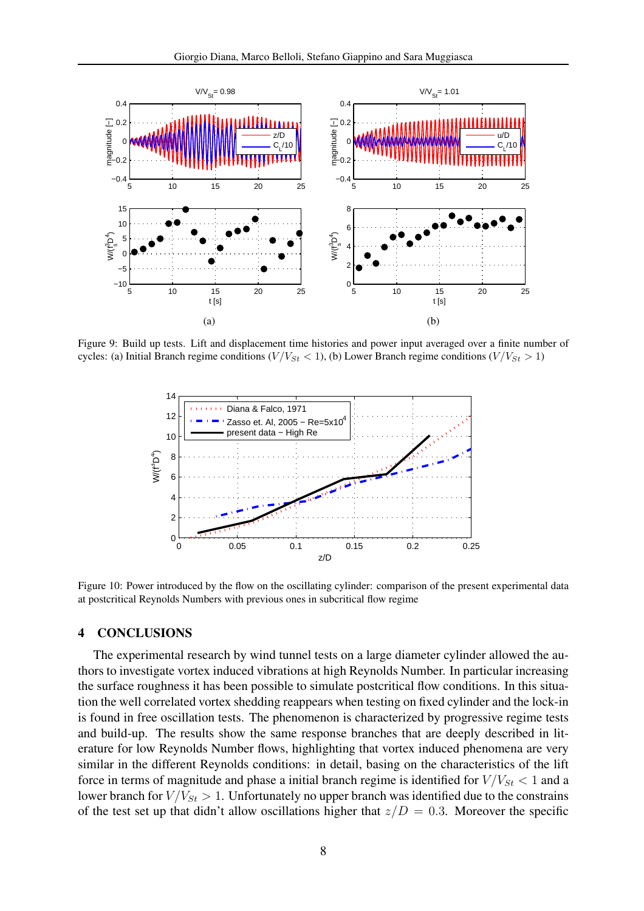

Figure 9: Build up tests. Lift and displacement time histories and power input averaged over a finite number of cycles: (a) Initial Branch regime conditions ( $V/V_{St}$  < 1), (b) Lower Branch regime conditions ( $V/V_{St}$  > 1)



Figure 10: Power introduced by the flow on the oscillating cylinder: comparison of the present experimental data at postcritical Reynolds Numbers with previous ones in subcritical flow regime

## 4 CONCLUSIONS

The experimental research by wind tunnel tests on a large diameter cylinder allowed the authors to investigate vortex induced vibrations at high Reynolds Number. In particular increasing the surface roughness it has been possible to simulate postcritical flow conditions. In this situation the well correlated vortex shedding reappears when testing on fixed cylinder and the lock-in is found in free oscillation tests. The phenomenon is characterized by progressive regime tests and build-up. The results show the same response branches that are deeply described in literature for low Reynolds Number flows, highlighting that vortex induced phenomena are very similar in the different Reynolds conditions: in detail, basing on the characteristics of the lift force in terms of magnitude and phase a initial branch regime is identified for  $V/V_{St}$  < 1 and a lower branch for  $V/V_{St} > 1$ . Unfortunately no upper branch was identified due to the constrains of the test set up that didn't allow oscillations higher that  $z/D = 0.3$ . Moreover the specific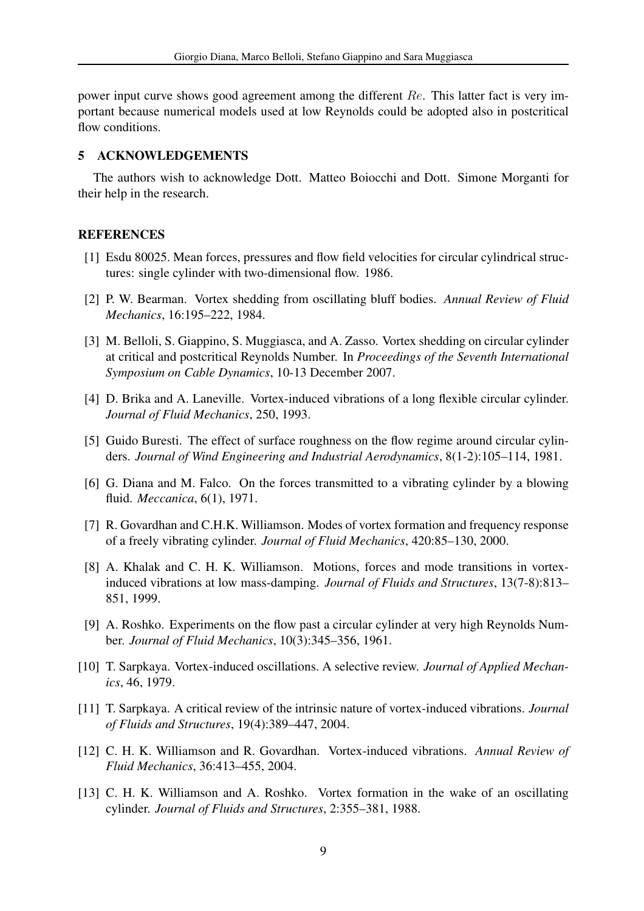power input curve shows good agreement among the different Re. This latter fact is very important because numerical models used at low Reynolds could be adopted also in postcritical flow conditions.

## 5 ACKNOWLEDGEMENTS

The authors wish to acknowledge Dott. Matteo Boiocchi and Dott. Simone Morganti for their help in the research.

## **REFERENCES**

- [1] Esdu 80025. Mean forces, pressures and flow field velocities for circular cylindrical structures: single cylinder with two-dimensional flow. 1986.
- [2] P. W. Bearman. Vortex shedding from oscillating bluff bodies. *Annual Review of Fluid Mechanics*, 16:195–222, 1984.
- [3] M. Belloli, S. Giappino, S. Muggiasca, and A. Zasso. Vortex shedding on circular cylinder at critical and postcritical Reynolds Number. In *Proceedings of the Seventh International Symposium on Cable Dynamics*, 10-13 December 2007.
- [4] D. Brika and A. Laneville. Vortex-induced vibrations of a long flexible circular cylinder. *Journal of Fluid Mechanics*, 250, 1993.
- [5] Guido Buresti. The effect of surface roughness on the flow regime around circular cylinders. *Journal of Wind Engineering and Industrial Aerodynamics*, 8(1-2):105–114, 1981.
- [6] G. Diana and M. Falco. On the forces transmitted to a vibrating cylinder by a blowing fluid. *Meccanica*, 6(1), 1971.
- [7] R. Govardhan and C.H.K. Williamson. Modes of vortex formation and frequency response of a freely vibrating cylinder. *Journal of Fluid Mechanics*, 420:85–130, 2000.
- [8] A. Khalak and C. H. K. Williamson. Motions, forces and mode transitions in vortexinduced vibrations at low mass-damping. *Journal of Fluids and Structures*, 13(7-8):813– 851, 1999.
- [9] A. Roshko. Experiments on the flow past a circular cylinder at very high Reynolds Number. *Journal of Fluid Mechanics*, 10(3):345–356, 1961.
- [10] T. Sarpkaya. Vortex-induced oscillations. A selective review. *Journal of Applied Mechanics*, 46, 1979.
- [11] T. Sarpkaya. A critical review of the intrinsic nature of vortex-induced vibrations. *Journal of Fluids and Structures*, 19(4):389–447, 2004.
- [12] C. H. K. Williamson and R. Govardhan. Vortex-induced vibrations. *Annual Review of Fluid Mechanics*, 36:413–455, 2004.
- [13] C. H. K. Williamson and A. Roshko. Vortex formation in the wake of an oscillating cylinder. *Journal of Fluids and Structures*, 2:355–381, 1988.